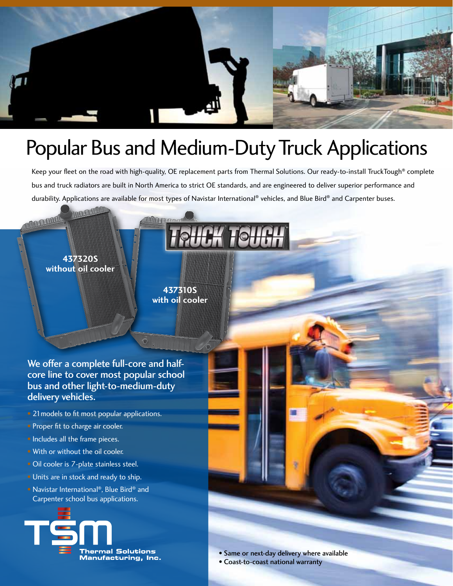

## Popular Bus and Medium-Duty Truck Applications

Keep your fleet on the road with high-quality, OE replacement parts from Thermal Solutions. Our ready-to-install TruckTough® complete bus and truck radiators are built in North America to strict OE standards, and are engineered to deliver superior performance and durability. Applications are available for most types of Navistar International® vehicles, and Blue Bird® and Carpenter buses.

**TRUCK TOUG** 

## **437320S without oil cooler**

n n mm

**437310S with oil cooler**

We offer a complete full-core and halfcore line to cover most popular school bus and other light-to-medium-duty delivery vehicles.

- 21 models to fit most popular applications. • Proper fit to charge air cooler. • Includes all the frame pieces. • With or without the oil cooler. • Oil cooler is 7-plate stainless steel.
- Units are in stock and ready to ship.
- Navistar International®, Blue Bird® and Carpenter school bus applications.



• Same or next-day delivery where available

• Coast-to-coast national warranty